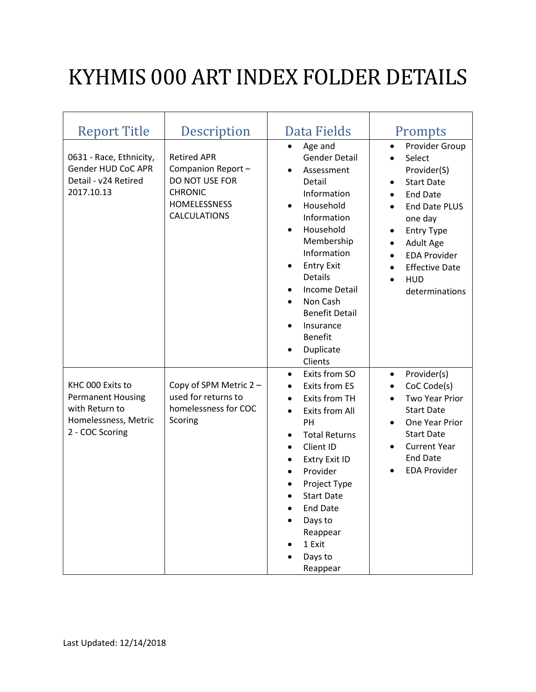## KYHMIS 000 ART INDEX FOLDER DETAILS

| <b>Report Title</b>                                                                                       | Description                                                                                                               | Data Fields                                                                                                                                                                                                                                                                                                                                                            | Prompts                                                                                                                                                                                                                                                                     |
|-----------------------------------------------------------------------------------------------------------|---------------------------------------------------------------------------------------------------------------------------|------------------------------------------------------------------------------------------------------------------------------------------------------------------------------------------------------------------------------------------------------------------------------------------------------------------------------------------------------------------------|-----------------------------------------------------------------------------------------------------------------------------------------------------------------------------------------------------------------------------------------------------------------------------|
| 0631 - Race, Ethnicity,<br>Gender HUD CoC APR<br>Detail - v24 Retired<br>2017.10.13                       | <b>Retired APR</b><br>Companion Report-<br>DO NOT USE FOR<br><b>CHRONIC</b><br><b>HOMELESSNESS</b><br><b>CALCULATIONS</b> | Age and<br>$\bullet$<br><b>Gender Detail</b><br>Assessment<br>Detail<br>Information<br>Household<br>$\bullet$<br>Information<br>Household<br>$\bullet$<br>Membership<br>Information<br><b>Entry Exit</b><br>٠<br>Details<br><b>Income Detail</b><br>$\bullet$<br>Non Cash<br><b>Benefit Detail</b><br>Insurance<br><b>Benefit</b><br>Duplicate<br>$\bullet$<br>Clients | Provider Group<br>$\bullet$<br>Select<br>$\bullet$<br>Provider(S)<br><b>Start Date</b><br>$\bullet$<br><b>End Date</b><br><b>End Date PLUS</b><br>one day<br><b>Entry Type</b><br>Adult Age<br><b>EDA Provider</b><br><b>Effective Date</b><br><b>HUD</b><br>determinations |
| KHC 000 Exits to<br><b>Permanent Housing</b><br>with Return to<br>Homelessness, Metric<br>2 - COC Scoring | Copy of SPM Metric 2 -<br>used for returns to<br>homelessness for COC<br>Scoring                                          | Exits from SO<br>$\bullet$<br><b>Exits from ES</b><br>$\bullet$<br>Exits from TH<br>$\bullet$<br><b>Exits from All</b><br>$\bullet$<br>PH<br><b>Total Returns</b><br>٠<br>Client ID<br>$\bullet$<br>Extry Exit ID<br>٠<br>Provider<br>$\bullet$<br>Project Type<br><b>Start Date</b><br><b>End Date</b><br>Days to<br>Reappear<br>1 Exit<br>Days to<br>Reappear        | Provider(s)<br>$\bullet$<br>CoC Code(s)<br><b>Two Year Prior</b><br><b>Start Date</b><br>One Year Prior<br>$\bullet$<br><b>Start Date</b><br><b>Current Year</b><br><b>End Date</b><br><b>EDA Provider</b>                                                                  |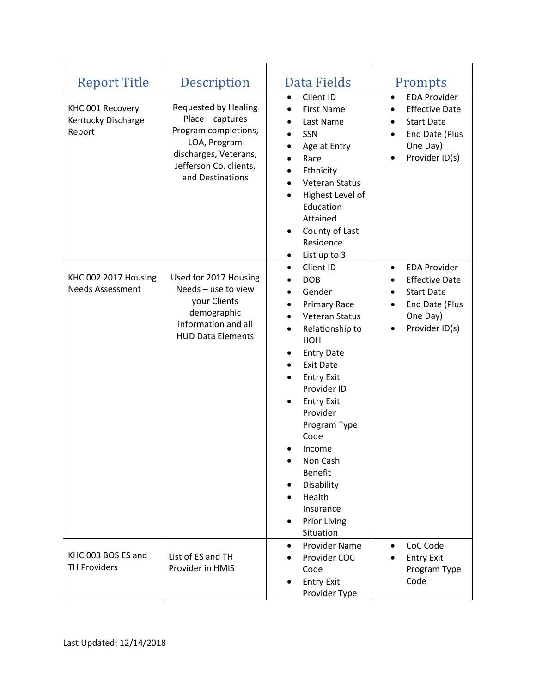| <b>Report Title</b>                              | Description                                                                                                                                                    | Data Fields                                                                                                                                                                                                                                                                                                                                                                                                                                                                                          | Prompts                                                                                                                        |
|--------------------------------------------------|----------------------------------------------------------------------------------------------------------------------------------------------------------------|------------------------------------------------------------------------------------------------------------------------------------------------------------------------------------------------------------------------------------------------------------------------------------------------------------------------------------------------------------------------------------------------------------------------------------------------------------------------------------------------------|--------------------------------------------------------------------------------------------------------------------------------|
| KHC 001 Recovery<br>Kentucky Discharge<br>Report | <b>Requested by Healing</b><br>Place - captures<br>Program completions,<br>LOA, Program<br>discharges, Veterans,<br>Jefferson Co. clients,<br>and Destinations | Client ID<br>$\bullet$<br><b>First Name</b><br>$\bullet$<br>Last Name<br>$\bullet$<br>SSN<br>$\bullet$<br>Age at Entry<br>$\bullet$<br>Race<br>$\bullet$<br>Ethnicity<br>$\bullet$<br>Veteran Status<br>Highest Level of<br>$\bullet$<br>Education<br>Attained<br>County of Last<br>٠<br>Residence<br>List up to 3<br>$\bullet$                                                                                                                                                                      | <b>EDA Provider</b><br>$\bullet$<br><b>Effective Date</b><br><b>Start Date</b><br>End Date (Plus<br>One Day)<br>Provider ID(s) |
| KHC 002 2017 Housing<br><b>Needs Assessment</b>  | Used for 2017 Housing<br>Needs - use to view<br>your Clients<br>demographic<br>information and all<br><b>HUD Data Elements</b>                                 | Client ID<br>$\bullet$<br><b>DOB</b><br>$\bullet$<br>Gender<br>$\bullet$<br><b>Primary Race</b><br>$\bullet$<br>Veteran Status<br>$\bullet$<br>Relationship to<br>$\bullet$<br>HOH<br><b>Entry Date</b><br>٠<br><b>Exit Date</b><br>$\bullet$<br><b>Entry Exit</b><br>٠<br>Provider ID<br><b>Entry Exit</b><br>$\bullet$<br>Provider<br>Program Type<br>Code<br>Income<br>Non Cash<br><b>Benefit</b><br>Disability<br>٠<br>Health<br>$\bullet$<br>Insurance<br><b>Prior Living</b><br>٠<br>Situation | <b>EDA Provider</b><br>$\bullet$<br><b>Effective Date</b><br><b>Start Date</b><br>End Date (Plus<br>One Day)<br>Provider ID(s) |
| KHC 003 BOS ES and<br><b>TH Providers</b>        | List of ES and TH<br>Provider in HMIS                                                                                                                          | Provider Name<br>$\bullet$<br>Provider COC<br>Code<br><b>Entry Exit</b><br>Provider Type                                                                                                                                                                                                                                                                                                                                                                                                             | CoC Code<br><b>Entry Exit</b><br>Program Type<br>Code                                                                          |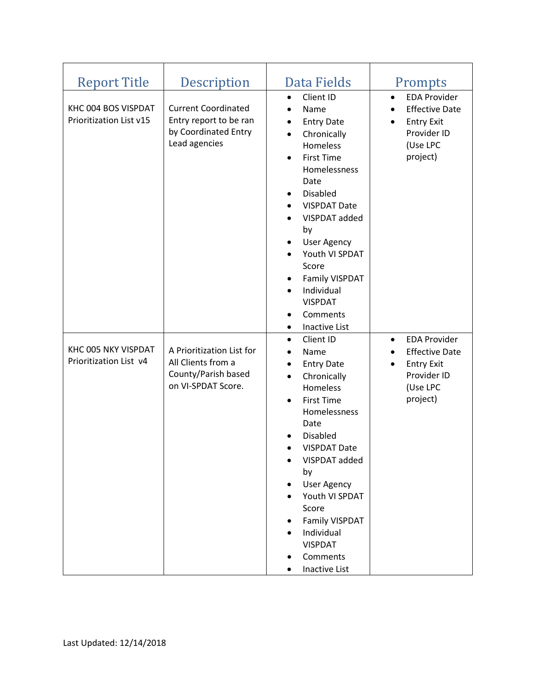| <b>Report Title</b><br>KHC 004 BOS VISPDAT<br>Prioritization List v15 | <b>Description</b><br><b>Current Coordinated</b><br>Entry report to be ran<br>by Coordinated Entry<br>Lead agencies | Data Fields<br>Client ID<br>$\bullet$<br>Name<br>$\bullet$<br><b>Entry Date</b><br>$\bullet$<br>Chronically<br>$\bullet$<br>Homeless<br><b>First Time</b><br>$\bullet$<br>Homelessness<br>Date<br><b>Disabled</b><br>٠<br><b>VISPDAT Date</b><br>$\bullet$<br>VISPDAT added<br>$\bullet$<br>by<br><b>User Agency</b><br>٠<br>Youth VI SPDAT<br>$\bullet$<br>Score<br><b>Family VISPDAT</b><br>٠<br>Individual<br>$\bullet$<br><b>VISPDAT</b><br>Comments<br>$\bullet$<br><b>Inactive List</b><br>$\bullet$ | Prompts<br><b>EDA Provider</b><br>$\bullet$<br><b>Effective Date</b><br><b>Entry Exit</b><br>$\bullet$<br>Provider ID<br>(Use LPC<br>project) |
|-----------------------------------------------------------------------|---------------------------------------------------------------------------------------------------------------------|------------------------------------------------------------------------------------------------------------------------------------------------------------------------------------------------------------------------------------------------------------------------------------------------------------------------------------------------------------------------------------------------------------------------------------------------------------------------------------------------------------|-----------------------------------------------------------------------------------------------------------------------------------------------|
| KHC 005 NKY VISPDAT<br>Prioritization List v4                         | A Prioritization List for<br>All Clients from a<br>County/Parish based<br>on VI-SPDAT Score.                        | Client ID<br>$\bullet$<br>Name<br>$\bullet$<br><b>Entry Date</b><br>$\bullet$<br>Chronically<br>$\bullet$<br>Homeless<br><b>First Time</b><br>$\bullet$<br>Homelessness<br>Date<br><b>Disabled</b><br><b>VISPDAT Date</b><br>VISPDAT added<br>by<br><b>User Agency</b><br>Youth VI SPDAT<br>Score<br>Family VISPDAT<br>٠<br>Individual<br><b>VISPDAT</b><br>Comments<br>Inactive List<br>$\bullet$                                                                                                         | <b>EDA Provider</b><br>$\bullet$<br><b>Effective Date</b><br><b>Entry Exit</b><br>$\bullet$<br>Provider ID<br>(Use LPC<br>project)            |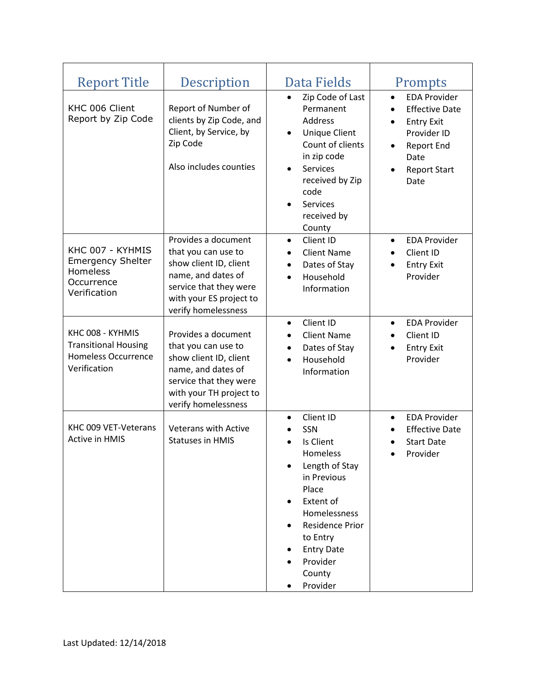| <b>Report Title</b>                                                                           | Description                                                                                                                                                            | Data Fields                                                                                                                                                                                                                          | Prompts                                                                                                                                                                      |
|-----------------------------------------------------------------------------------------------|------------------------------------------------------------------------------------------------------------------------------------------------------------------------|--------------------------------------------------------------------------------------------------------------------------------------------------------------------------------------------------------------------------------------|------------------------------------------------------------------------------------------------------------------------------------------------------------------------------|
| KHC 006 Client<br>Report by Zip Code                                                          | Report of Number of<br>clients by Zip Code, and<br>Client, by Service, by<br>Zip Code<br>Also includes counties                                                        | Zip Code of Last<br>$\bullet$<br>Permanent<br>Address<br><b>Unique Client</b><br>$\bullet$<br>Count of clients<br>in zip code<br><b>Services</b><br>$\bullet$<br>received by Zip<br>code<br><b>Services</b><br>received by<br>County | <b>EDA Provider</b><br>$\bullet$<br><b>Effective Date</b><br>$\bullet$<br><b>Entry Exit</b><br>Provider ID<br>Report End<br>$\bullet$<br>Date<br><b>Report Start</b><br>Date |
| KHC 007 - KYHMIS<br><b>Emergency Shelter</b><br>Homeless<br>Occurrence<br>Verification        | Provides a document<br>that you can use to<br>show client ID, client<br>name, and dates of<br>service that they were<br>with your ES project to<br>verify homelessness | Client ID<br>$\bullet$<br><b>Client Name</b><br>$\bullet$<br>Dates of Stay<br>$\bullet$<br>Household<br>$\bullet$<br>Information                                                                                                     | <b>EDA Provider</b><br>$\bullet$<br>Client ID<br>$\bullet$<br><b>Entry Exit</b><br>$\bullet$<br>Provider                                                                     |
| KHC 008 - KYHMIS<br><b>Transitional Housing</b><br><b>Homeless Occurrence</b><br>Verification | Provides a document<br>that you can use to<br>show client ID, client<br>name, and dates of<br>service that they were<br>with your TH project to<br>verify homelessness | Client ID<br>$\bullet$<br><b>Client Name</b><br>$\bullet$<br>Dates of Stay<br>$\bullet$<br>Household<br>$\bullet$<br>Information                                                                                                     | <b>EDA Provider</b><br>$\bullet$<br>Client ID<br>$\bullet$<br><b>Entry Exit</b><br>٠<br>Provider                                                                             |
| KHC 009 VET-Veterans<br>Active in HMIS                                                        | <b>Veterans with Active</b><br><b>Statuses in HMIS</b>                                                                                                                 | Client ID<br>$\bullet$<br>SSN<br>Is Client<br>Homeless<br>Length of Stay<br>in Previous<br>Place<br>Extent of<br>Homelessness<br><b>Residence Prior</b><br>to Entry<br><b>Entry Date</b><br>Provider<br>County<br>Provider           | <b>EDA Provider</b><br>$\bullet$<br><b>Effective Date</b><br><b>Start Date</b><br>Provider                                                                                   |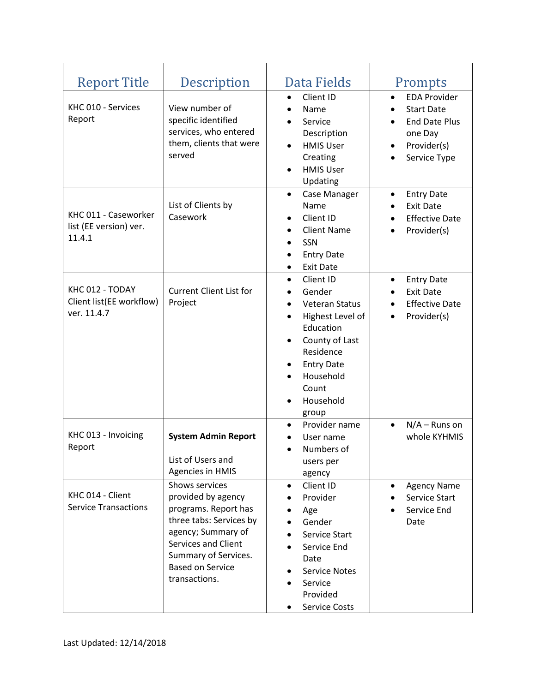| <b>Report Title</b>                                        | Description                                                                                                                                                                                              | Data Fields                                                                                                                                                                                                                                                            | Prompts                                                                                                                              |
|------------------------------------------------------------|----------------------------------------------------------------------------------------------------------------------------------------------------------------------------------------------------------|------------------------------------------------------------------------------------------------------------------------------------------------------------------------------------------------------------------------------------------------------------------------|--------------------------------------------------------------------------------------------------------------------------------------|
| KHC 010 - Services<br>Report                               | View number of<br>specific identified<br>services, who entered<br>them, clients that were<br>served                                                                                                      | Client ID<br>$\bullet$<br>Name<br>$\bullet$<br>Service<br>Description<br><b>HMIS User</b><br>$\bullet$<br>Creating<br><b>HMIS User</b><br>$\bullet$<br>Updating                                                                                                        | <b>EDA Provider</b><br>$\bullet$<br><b>Start Date</b><br><b>End Date Plus</b><br>one Day<br>Provider(s)<br>$\bullet$<br>Service Type |
| KHC 011 - Caseworker<br>list (EE version) ver.<br>11.4.1   | List of Clients by<br>Casework                                                                                                                                                                           | Case Manager<br>$\bullet$<br>Name<br>Client ID<br>$\bullet$<br><b>Client Name</b><br>$\bullet$<br>SSN<br>$\bullet$<br><b>Entry Date</b><br>$\bullet$<br><b>Exit Date</b><br>$\bullet$                                                                                  | <b>Entry Date</b><br>$\bullet$<br><b>Exit Date</b><br><b>Effective Date</b><br>Provider(s)                                           |
| KHC 012 - TODAY<br>Client list(EE workflow)<br>ver. 11.4.7 | <b>Current Client List for</b><br>Project                                                                                                                                                                | Client ID<br>$\bullet$<br>Gender<br>$\bullet$<br>Veteran Status<br>$\bullet$<br>Highest Level of<br>$\bullet$<br>Education<br>County of Last<br>$\bullet$<br>Residence<br><b>Entry Date</b><br>٠<br>Household<br>$\bullet$<br>Count<br>Household<br>$\bullet$<br>group | <b>Entry Date</b><br>$\bullet$<br><b>Exit Date</b><br><b>Effective Date</b><br>Provider(s)<br>$\bullet$                              |
| KHC 013 - Invoicing<br>Report                              | <b>System Admin Report</b><br>List of Users and<br><b>Agencies in HMIS</b>                                                                                                                               | Provider name<br>$\bullet$<br>User name<br>Numbers of<br>$\bullet$<br>users per<br>agency                                                                                                                                                                              | $N/A -$ Runs on<br>$\bullet$<br>whole KYHMIS                                                                                         |
| KHC 014 - Client<br><b>Service Transactions</b>            | Shows services<br>provided by agency<br>programs. Report has<br>three tabs: Services by<br>agency; Summary of<br>Services and Client<br>Summary of Services.<br><b>Based on Service</b><br>transactions. | Client ID<br>$\bullet$<br>Provider<br>Age<br>Gender<br>Service Start<br>Service End<br>Date<br><b>Service Notes</b><br>Service<br>Provided<br><b>Service Costs</b>                                                                                                     | <b>Agency Name</b><br>Service Start<br>Service End<br>Date                                                                           |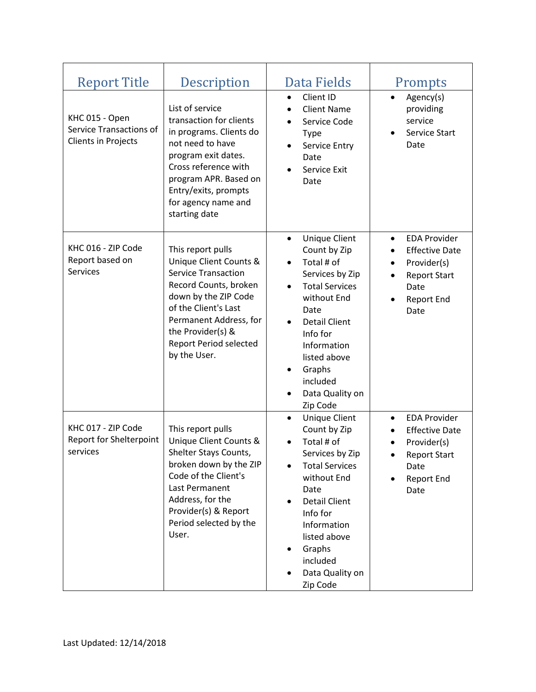| <b>Report Title</b>                                                            | Description                                                                                                                                                                                                                                        | Data Fields                                                                                                                                                                                                                                                                               | Prompts                                                                                                                                                              |
|--------------------------------------------------------------------------------|----------------------------------------------------------------------------------------------------------------------------------------------------------------------------------------------------------------------------------------------------|-------------------------------------------------------------------------------------------------------------------------------------------------------------------------------------------------------------------------------------------------------------------------------------------|----------------------------------------------------------------------------------------------------------------------------------------------------------------------|
| KHC 015 - Open<br><b>Service Transactions of</b><br><b>Clients in Projects</b> | List of service<br>transaction for clients<br>in programs. Clients do<br>not need to have<br>program exit dates.<br>Cross reference with<br>program APR. Based on<br>Entry/exits, prompts<br>for agency name and<br>starting date                  | Client ID<br>$\bullet$<br><b>Client Name</b><br>Service Code<br><b>Type</b><br>Service Entry<br>Date<br>Service Exit<br>Date                                                                                                                                                              | Agency(s)<br>$\bullet$<br>providing<br>service<br>Service Start<br>$\bullet$<br>Date                                                                                 |
| KHC 016 - ZIP Code<br>Report based on<br><b>Services</b>                       | This report pulls<br>Unique Client Counts &<br><b>Service Transaction</b><br>Record Counts, broken<br>down by the ZIP Code<br>of the Client's Last<br>Permanent Address, for<br>the Provider(s) &<br><b>Report Period selected</b><br>by the User. | <b>Unique Client</b><br>$\bullet$<br>Count by Zip<br>Total # of<br>$\bullet$<br>Services by Zip<br><b>Total Services</b><br>$\bullet$<br>without End<br>Date<br><b>Detail Client</b><br>Info for<br>Information<br>listed above<br>Graphs<br>٠<br>included<br>Data Quality on<br>Zip Code | <b>EDA Provider</b><br>$\bullet$<br><b>Effective Date</b><br>$\bullet$<br>Provider(s)<br>$\bullet$<br><b>Report Start</b><br>$\bullet$<br>Date<br>Report End<br>Date |
| KHC 017 - ZIP Code<br><b>Report for Shelterpoint</b><br>services               | This report pulls<br>Unique Client Counts &<br>Shelter Stays Counts<br>broken down by the ZIP<br>Code of the Client's<br>Last Permanent<br>Address, for the<br>Provider(s) & Report<br>Period selected by the<br>User.                             | <b>Unique Client</b><br>$\bullet$<br>Count by Zip<br>Total # of<br>Services by Zip<br><b>Total Services</b><br>without End<br>Date<br><b>Detail Client</b><br>Info for<br>Information<br>listed above<br>Graphs<br>included<br>Data Quality on<br>Zip Code                                | <b>EDA Provider</b><br>$\bullet$<br><b>Effective Date</b><br>$\bullet$<br>Provider(s)<br>٠<br><b>Report Start</b><br>Date<br>Report End<br>Date                      |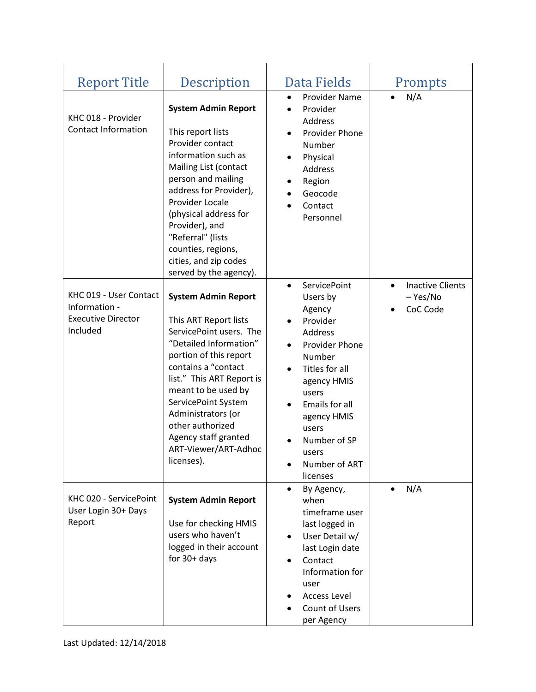| <b>Report Title</b>                                                              | Description                                                                                                                                                                                                                                                                                                                                  | Data Fields                                                                                                                                                                                                                                                                   | Prompts                                                      |
|----------------------------------------------------------------------------------|----------------------------------------------------------------------------------------------------------------------------------------------------------------------------------------------------------------------------------------------------------------------------------------------------------------------------------------------|-------------------------------------------------------------------------------------------------------------------------------------------------------------------------------------------------------------------------------------------------------------------------------|--------------------------------------------------------------|
| KHC 018 - Provider<br><b>Contact Information</b>                                 | <b>System Admin Report</b><br>This report lists<br>Provider contact<br>information such as<br>Mailing List (contact<br>person and mailing<br>address for Provider),<br>Provider Locale<br>(physical address for<br>Provider), and<br>"Referral" (lists<br>counties, regions,<br>cities, and zip codes<br>served by the agency).              | <b>Provider Name</b><br>$\bullet$<br>Provider<br>Address<br>Provider Phone<br>Number<br>Physical<br>$\bullet$<br>Address<br>Region<br>Geocode<br>Contact<br>Personnel                                                                                                         | N/A                                                          |
| KHC 019 - User Contact<br>Information -<br><b>Executive Director</b><br>Included | <b>System Admin Report</b><br>This ART Report lists<br>ServicePoint users. The<br>"Detailed Information"<br>portion of this report<br>contains a "contact<br>list." This ART Report is<br>meant to be used by<br>ServicePoint System<br>Administrators (or<br>other authorized<br>Agency staff granted<br>ART-Viewer/ART-Adhoc<br>licenses). | <b>ServicePoint</b><br>$\bullet$<br>Users by<br>Agency<br>Provider<br>Address<br>Provider Phone<br>$\bullet$<br>Number<br>Titles for all<br>$\bullet$<br>agency HMIS<br>users<br>Emails for all<br>agency HMIS<br>users<br>Number of SP<br>users<br>Number of ART<br>licenses | <b>Inactive Clients</b><br>$\bullet$<br>- Yes/No<br>CoC Code |
| KHC 020 - ServicePoint<br>User Login 30+ Days<br>Report                          | <b>System Admin Report</b><br>Use for checking HMIS<br>users who haven't<br>logged in their account<br>for $30+$ days                                                                                                                                                                                                                        | By Agency,<br>٠<br>when<br>timeframe user<br>last logged in<br>User Detail w/<br>٠<br>last Login date<br>Contact<br>Information for<br>user<br><b>Access Level</b><br>Count of Users<br>per Agency                                                                            | N/A<br>$\bullet$                                             |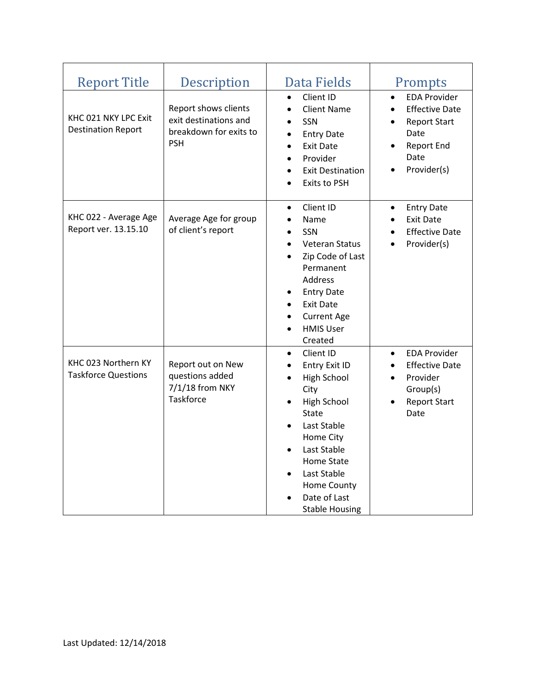| <b>Report Title</b>                               | Description                                                                           | Data Fields                                                                                                                                                                                                                                                                                                         | Prompts                                                                                                                                           |
|---------------------------------------------------|---------------------------------------------------------------------------------------|---------------------------------------------------------------------------------------------------------------------------------------------------------------------------------------------------------------------------------------------------------------------------------------------------------------------|---------------------------------------------------------------------------------------------------------------------------------------------------|
| KHC 021 NKY LPC Exit<br><b>Destination Report</b> | Report shows clients<br>exit destinations and<br>breakdown for exits to<br><b>PSH</b> | Client ID<br>$\bullet$<br><b>Client Name</b><br>$\bullet$<br>SSN<br>$\bullet$<br><b>Entry Date</b><br>$\bullet$<br><b>Exit Date</b><br>$\bullet$<br>Provider<br>$\bullet$<br><b>Exit Destination</b><br>$\bullet$<br><b>Exits to PSH</b><br>$\bullet$                                                               | <b>EDA Provider</b><br>$\bullet$<br><b>Effective Date</b><br>$\bullet$<br><b>Report Start</b><br>Date<br><b>Report End</b><br>Date<br>Provider(s) |
| KHC 022 - Average Age<br>Report ver. 13.15.10     | Average Age for group<br>of client's report                                           | Client ID<br>$\bullet$<br>Name<br>$\bullet$<br>SSN<br>$\bullet$<br><b>Veteran Status</b><br>$\bullet$<br>Zip Code of Last<br>$\bullet$<br>Permanent<br>Address<br><b>Entry Date</b><br>٠<br><b>Exit Date</b><br>$\bullet$<br><b>Current Age</b><br>$\bullet$<br><b>HMIS User</b><br>Created                         | <b>Entry Date</b><br>$\bullet$<br><b>Exit Date</b><br><b>Effective Date</b><br>Provider(s)                                                        |
| KHC 023 Northern KY<br><b>Taskforce Questions</b> | Report out on New<br>questions added<br>7/1/18 from NKY<br><b>Taskforce</b>           | Client ID<br>$\bullet$<br>Entry Exit ID<br>$\bullet$<br><b>High School</b><br>$\bullet$<br>City<br><b>High School</b><br>$\bullet$<br><b>State</b><br>Last Stable<br>Home City<br>Last Stable<br>$\bullet$<br><b>Home State</b><br>Last Stable<br>$\bullet$<br>Home County<br>Date of Last<br><b>Stable Housing</b> | <b>EDA Provider</b><br><b>Effective Date</b><br>Provider<br>Group(s)<br><b>Report Start</b><br>Date                                               |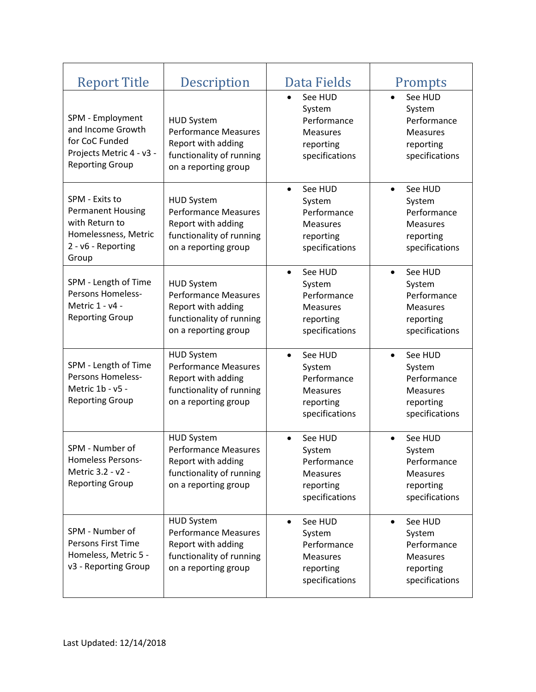| <b>Report Title</b>                                                                                                 | Description                                                                                                                | Data Fields                                                                                     | Prompts                                                                                         |
|---------------------------------------------------------------------------------------------------------------------|----------------------------------------------------------------------------------------------------------------------------|-------------------------------------------------------------------------------------------------|-------------------------------------------------------------------------------------------------|
| SPM - Employment<br>and Income Growth<br>for CoC Funded<br>Projects Metric 4 - v3 -<br><b>Reporting Group</b>       | <b>HUD System</b><br>Performance Measures<br>Report with adding<br>functionality of running<br>on a reporting group        | See HUD<br>System<br>Performance<br><b>Measures</b><br>reporting<br>specifications              | See HUD<br>$\bullet$<br>System<br>Performance<br><b>Measures</b><br>reporting<br>specifications |
| SPM - Exits to<br><b>Permanent Housing</b><br>with Return to<br>Homelessness, Metric<br>2 - v6 - Reporting<br>Group | <b>HUD System</b><br><b>Performance Measures</b><br>Report with adding<br>functionality of running<br>on a reporting group | See HUD<br>System<br>Performance<br><b>Measures</b><br>reporting<br>specifications              | See HUD<br>System<br>Performance<br><b>Measures</b><br>reporting<br>specifications              |
| SPM - Length of Time<br>Persons Homeless-<br>Metric 1 - v4 -<br><b>Reporting Group</b>                              | <b>HUD System</b><br><b>Performance Measures</b><br>Report with adding<br>functionality of running<br>on a reporting group | See HUD<br>$\bullet$<br>System<br>Performance<br><b>Measures</b><br>reporting<br>specifications | See HUD<br>$\bullet$<br>System<br>Performance<br><b>Measures</b><br>reporting<br>specifications |
| SPM - Length of Time<br>Persons Homeless-<br>Metric 1b - v5 -<br><b>Reporting Group</b>                             | <b>HUD System</b><br><b>Performance Measures</b><br>Report with adding<br>functionality of running<br>on a reporting group | See HUD<br>$\bullet$<br>System<br>Performance<br>Measures<br>reporting<br>specifications        | See HUD<br>$\bullet$<br>System<br>Performance<br><b>Measures</b><br>reporting<br>specifications |
| SPM - Number of<br><b>Homeless Persons-</b><br>Metric 3.2 - v2 -<br><b>Reporting Group</b>                          | <b>HUD System</b><br><b>Performance Measures</b><br>Report with adding<br>functionality of running<br>on a reporting group | See HUD<br>System<br>Performance<br><b>Measures</b><br>reporting<br>specifications              | See HUD<br>System<br>Performance<br><b>Measures</b><br>reporting<br>specifications              |
| SPM - Number of<br>Persons First Time<br>Homeless, Metric 5 -<br>v3 - Reporting Group                               | <b>HUD System</b><br><b>Performance Measures</b><br>Report with adding<br>functionality of running<br>on a reporting group | See HUD<br>$\bullet$<br>System<br>Performance<br><b>Measures</b><br>reporting<br>specifications | See HUD<br>$\bullet$<br>System<br>Performance<br><b>Measures</b><br>reporting<br>specifications |